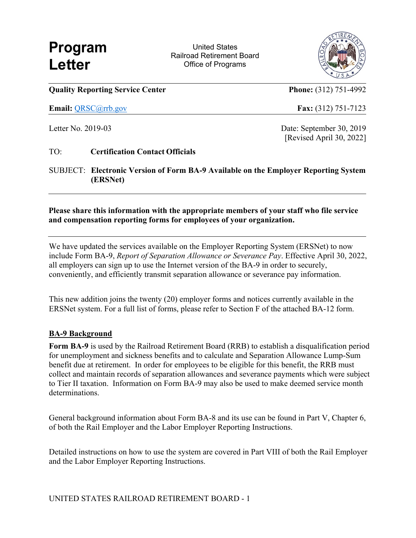**Program United States** Railroad Retirement Board **Letter Calculation Contract Contract Contract Contract Contract Contract Contract Contract Contract Contract Contract Contract Contract Contract Contract Contract Contract Contract Contract Contract Contract Contract** 



**Quality Reporting Service Center Phone: (312) 751-4992** 

**Email:** [QRSC@rrb.gov](mailto:QRSC@rrb.gov) **Fax:** (312) 751-7123

Letter No. 2019-03 Date: September 30, 2019 [Revised April 30, 2022]

TO: **Certification Contact Officials** 

SUBJECT: **Electronic Version of Form BA-9 Available on the Employer Reporting System (ERSNet)** 

**Please share this information with the appropriate members of your staff who file service and compensation reporting forms for employees of your organization.** 

We have updated the services available on the Employer Reporting System (ERSNet) to now include Form BA-9, *Report of Separation Allowance or Severance Pay*. Effective April 30, 2022, all employers can sign up to use the Internet version of the BA-9 in order to securely, conveniently, and efficiently transmit separation allowance or severance pay information.

This new addition joins the twenty (20) employer forms and notices currently available in the ERSNet system. For a full list of forms, please refer to Section F of the attached BA-12 form.

## **BA-9 Background**

**Form BA-9** is used by the Railroad Retirement Board (RRB) to establish a disqualification period for unemployment and sickness benefits and to calculate and Separation Allowance Lump-Sum benefit due at retirement. In order for employees to be eligible for this benefit, the RRB must collect and maintain records of separation allowances and severance payments which were subject to Tier II taxation. Information on Form BA-9 may also be used to make deemed service month determinations.

General background information about Form BA-8 and its use can be found in Part V, Chapter 6, of both the Rail Employer and the Labor Employer Reporting Instructions.

Detailed instructions on how to use the system are covered in Part VIII of both the Rail Employer and the Labor Employer Reporting Instructions.

UNITED STATES RAILROAD RETIREMENT BOARD - 1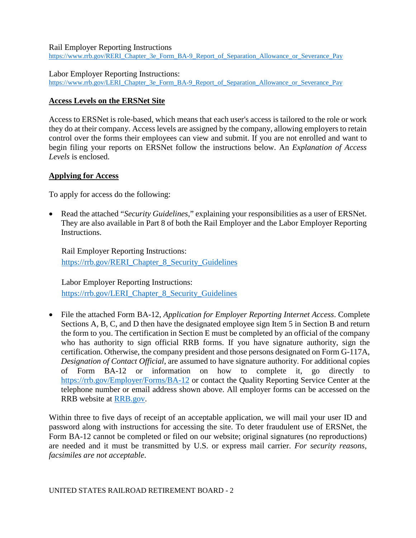Rail Employer Reporting Instructions https://www.rrb.gov/RERI\_Chapter\_3e\_Form\_BA-9\_Report\_of\_Separation\_Allowance\_or\_Severance\_Pay\_

Labor Employer Reporting Instructions:

https://www.rrb.gov/LERI\_Chapter\_3e\_Form\_BA-9\_Report\_of\_Separation\_Allowance\_or\_Severance\_Pay

## **Access Levels on the ERSNet Site**

Access to ERSNet is role-based, which means that each user's access is tailored to the role or work they do at their company. Access levels are assigned by the company, allowing employers to retain control over the forms their employees can view and submit. If you are not enrolled and want to begin filing your reports on ERSNet follow the instructions below. An *Explanation of Access Levels* is enclosed.

## **Applying for Access**

To apply for access do the following:

 They are also available in Part 8 of both the Rail Employer and the Labor Employer Reporting • Read the attached "*Security Guidelines*," explaining your responsibilities as a user of ERSNet. Instructions.

Rail Employer Reporting Instructions: [https://rrb.gov/RERI\\_Chapter\\_8\\_Security\\_Guidelines](https://rrb.gov/RERI_Chapter_8_Security_Guidelines) 

Labor Employer Reporting Instructions: https://rrb.gov/LERI\_Chapter\_8\_Security\_Guidelines

 Sections A, B, C, and D then have the designated employee sign Item 5 in Section B and return *Designation of Contact Official*, are assumed to have signature authority. For additional copies RRB website at **RRB**.gov. • File the attached Form BA-12, *Application for Employer Reporting Internet Access*. Complete the form to you. The certification in Section E must be completed by an official of the company who has authority to sign official RRB forms. If you have signature authority, sign the certification. Otherwise, the company president and those persons designated on Form G-117A, of Form BA-12 or information on how to complete it, go directly to <https://rrb.gov/Employer/Forms/BA-12>or contact the Quality Reporting Service Center at the telephone number or email address shown above. All employer forms can be accessed on the

 Within three to five days of receipt of an acceptable application, we will mail your user ID and password along with instructions for accessing the site. To deter fraudulent use of ERSNet, the Form BA-12 cannot be completed or filed on our website; original signatures (no reproductions) are needed and it must be transmitted by U.S. or express mail carrier. *For security reasons, facsimiles are not acceptable*.

UNITED STATES RAILROAD RETIREMENT BOARD - 2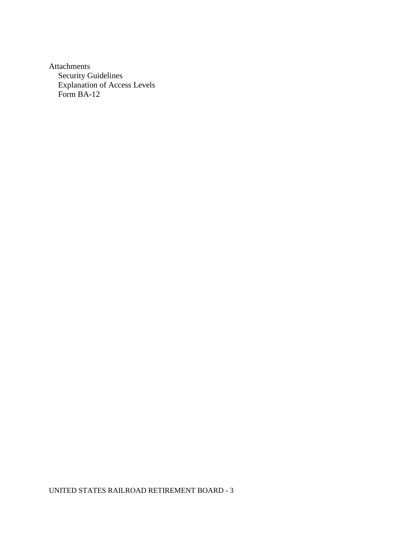Attachments Security Guidelines Explanation of Access Levels

UNITED STATES RAILROAD RETIREMENT BOARD - 3 Form BA-12 UNITED STATES RAILROAD RETIREMENT BOARD - 3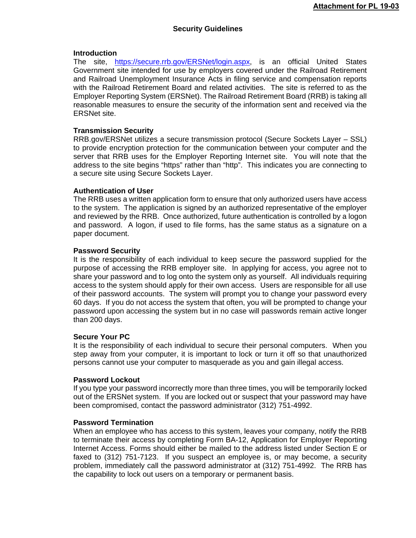## **Security Guidelines**

## **Introduction**

The site, [https://secure.rrb.gov/ERSNet/login.aspx,](https://secure.rrb.gov/ERSNet/login.aspx) is an official United States Government site intended for use by employers covered under the Railroad Retirement and Railroad Unemployment Insurance Acts in filing service and compensation reports with the Railroad Retirement Board and related activities. The site is referred to as the Employer Reporting System (ERSNet). The Railroad Retirement Board (RRB) is taking all reasonable measures to ensure the security of the information sent and received via the ERSNet site.

## **Transmission Security**

[RRB.gov/ERSNet](https://RRB.gov/ERSNet) utilizes a secure transmission protocol (Secure Sockets Layer – SSL) to provide encryption protection for the communication between your computer and the server that RRB uses for the Employer Reporting Internet site. You will note that the address to the site begins "https" rather than "http". This indicates you are connecting to a secure site using Secure Sockets Layer.

#### **Authentication of User**

The RRB uses a written application form to ensure that only authorized users have access to the system. The application is signed by an authorized representative of the employer and reviewed by the RRB. Once authorized, future authentication is controlled by a logon and password. A logon, if used to file forms, has the same status as a signature on a paper document.

#### **Password Security**

 access to the system should apply for their own access. Users are responsible for all use It is the responsibility of each individual to keep secure the password supplied for the purpose of accessing the RRB employer site. In applying for access, you agree not to share your password and to log onto the system only as yourself. All individuals requiring of their password accounts. The system will prompt you to change your password every 60 days. If you do not access the system that often, you will be prompted to change your password upon accessing the system but in no case will passwords remain active longer than 200 days.

#### **Secure Your PC**

It is the responsibility of each individual to secure their personal computers. When you step away from your computer, it is important to lock or turn it off so that unauthorized persons cannot use your computer to masquerade as you and gain illegal access.

#### **Password Lockout**

If you type your password incorrectly more than three times, you will be temporarily locked out of the ERSNet system. If you are locked out or suspect that your password may have been compromised, contact the password administrator (312) 751-4992.

## **Password Termination**

When an employee who has access to this system, leaves your company, notify the RRB to terminate their access by completing Form BA-12, Application for Employer Reporting Internet Access. Forms should either be mailed to the address listed under Section E or faxed to (312) 751-7123. If you suspect an employee is, or may become, a security problem, immediately call the password administrator at (312) 751-4992. The RRB has the capability to lock out users on a temporary or permanent basis.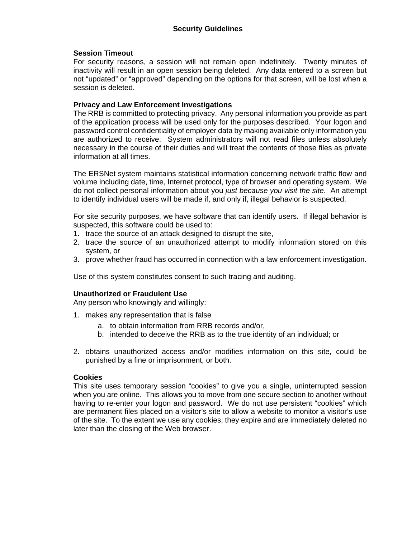## **Session Timeout**

For security reasons, a session will not remain open indefinitely. Twenty minutes of inactivity will result in an open session being deleted. Any data entered to a screen but not "updated" or "approved" depending on the options for that screen, will be lost when a session is deleted.

## **Privacy and Law Enforcement Investigations**

The RRB is committed to protecting privacy. Any personal information you provide as part of the application process will be used only for the purposes described. Your logon and password control confidentiality of employer data by making available only information you are authorized to receive. System administrators will not read files unless absolutely necessary in the course of their duties and will treat the contents of those files as private information at all times.

The ERSNet system maintains statistical information concerning network traffic flow and volume including date, time, Internet protocol, type of browser and operating system. We do not collect personal information about you *just because you visit the site*. An attempt to identify individual users will be made if, and only if, illegal behavior is suspected.

For site security purposes, we have software that can identify users. If illegal behavior is suspected, this software could be used to:

- 1. trace the source of an attack designed to disrupt the site,
- 2. trace the source of an unauthorized attempt to modify information stored on this system, or
- 3. prove whether fraud has occurred in connection with a law enforcement investigation.<br>Use of this system constitutes consent to such tracing and auditing.

## **Unauthorized or Fraudulent Use**

Any person who knowingly and willingly:

- 1. makes any representation that is false
	- a. to obtain information from RRB records and/or,
	- b. intended to deceive the RRB as to the true identity of an individual; or
- 2. obtains unauthorized access and/or modifies information on this site, could be punished by a fine or imprisonment, or both.

## **Cookies**

 of the site. To the extent we use any cookies; they expire and are immediately deleted no This site uses temporary session "cookies" to give you a single, uninterrupted session when you are online. This allows you to move from one secure section to another without having to re-enter your logon and password. We do not use persistent "cookies" which are permanent files placed on a visitor's site to allow a website to monitor a visitor's use later than the closing of the Web browser.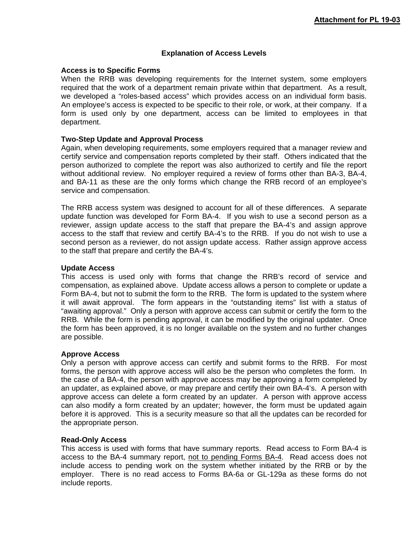## **Explanation of Access Levels**

### **Access is to Specific Forms**

When the RRB was developing requirements for the Internet system, some employers required that the work of a department remain private within that department. As a result, we developed a "roles-based access" which provides access on an individual form basis. An employee's access is expected to be specific to their role, or work, at their company. If a form is used only by one department, access can be limited to employees in that department.

## **Two-Step Update and Approval Process**

Again, when developing requirements, some employers required that a manager review and certify service and compensation reports completed by their staff. Others indicated that the person authorized to complete the report was also authorized to certify and file the report without additional review. No employer required a review of forms other than BA-3, BA-4, and BA-11 as these are the only forms which change the RRB record of an employee's service and compensation.

The RRB access system was designed to account for all of these differences. A separate update function was developed for Form BA-4. If you wish to use a second person as a reviewer, assign update access to the staff that prepare the BA-4's and assign approve access to the staff that review and certify BA-4's to the RRB. If you do not wish to use a second person as a reviewer, do not assign update access. Rather assign approve access to the staff that prepare and certify the BA-4's.

#### **Update Access**

 Form BA-4, but not to submit the form to the RRB. The form is updated to the system where are possible. This access is used only with forms that change the RRB's record of service and compensation, as explained above. Update access allows a person to complete or update a it will await approval. The form appears in the "outstanding items" list with a status of "awaiting approval." Only a person with approve access can submit or certify the form to the RRB. While the form is pending approval, it can be modified by the original updater. Once the form has been approved, it is no longer available on the system and no further changes

#### **Approve Access**

Only a person with approve access can certify and submit forms to the RRB. For most forms, the person with approve access will also be the person who completes the form. In the case of a BA-4, the person with approve access may be approving a form completed by an updater, as explained above, or may prepare and certify their own BA-4's. A person with approve access can delete a form created by an updater. A person with approve access can also modify a form created by an updater; however, the form must be updated again before it is approved. This is a security measure so that all the updates can be recorded for the appropriate person.

#### **Read-Only Access**

This access is used with forms that have summary reports. Read access to Form BA-4 is access to the BA-4 summary report, not to pending Forms BA-4. Read access does not include access to pending work on the system whether initiated by the RRB or by the employer. There is no read access to Forms BA-6a or GL-129a as these forms do not include reports.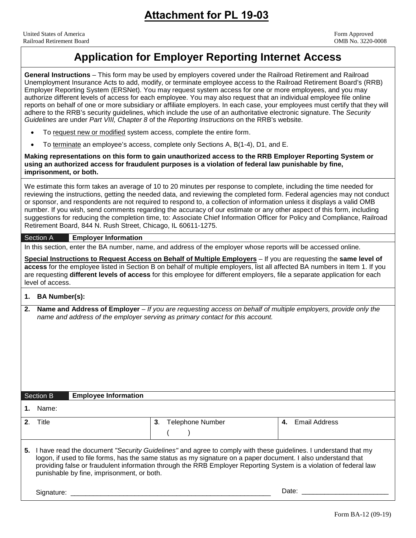## **Application for Employer Reporting Internet Access**

**General Instructions** – This form may be used by employers covered under the Railroad Retirement and Railroad

 Employer Reporting System (ERSNet). You may request system access for one or more employees, and you may reports on behalf of one or more subsidiary or affiliate employers. In each case, your employees must certify that they will adhere to the RRB's security guidelines, which include the use of an authoritative electronic signature. The *Security Guidelines* are under *Part VIII, Chapter 8* of the *Reporting Instructions* on the RRB's website. • To terminate an employee's access, complete only Sections A, B(1-4), D1, and E.  **Making representations on this form to gain unauthorized access to the RRB Employer Reporting System or**  Retirement Board, 844 N. Rush Street, Chicago, IL 60611-1275. **access** for the employee listed in Section B on behalf of multiple employers, list all affected BA numbers in Item 1. If you  **2. Name and Address of Employer** – *If you are requesting access on behalf of multiple employers, provide only the*  Signature: Unemployment Insurance Acts to add, modify, or terminate employee access to the Railroad Retirement Board's (RRB) authorize different levels of access for each employee. You may also request that an individual employee file online • To request new or modified system access, complete the entire form. **using an authorized access for fraudulent purposes is a violation of federal law punishable by fine, imprisonment, or both.**  We estimate this form takes an average of 10 to 20 minutes per response to complete, including the time needed for reviewing the instructions, getting the needed data, and reviewing the completed form. Federal agencies may not conduct or sponsor, and respondents are not required to respond to, a collection of information unless it displays a valid OMB number. If you wish, send comments regarding the accuracy of our estimate or any other aspect of this form, including suggestions for reducing the completion time, to: Associate Chief Information Officer for Policy and Compliance, Railroad Section A **Employer Information**  In this section, enter the BA number, name, and address of the employer whose reports will be accessed online. **Special Instructions to Request Access on Behalf of Multiple Employers** – If you are requesting the **same level of**  are requesting **different levels of access** for this employee for different employers, file a separate application for each level of access. **1. BA Number(s):**  *name and address of the employer serving as primary contact for this account.*  Section B **Employee Information 1.** Name: **2**. Title **3**. Telephone Number  $($ **4.** Email Address **5.** I have read the document *"Security Guidelines"* and agree to comply with these guidelines. I understand that my logon, if used to file forms, has the same status as my signature on a paper document. I also understand that providing false or fraudulent information through the RRB Employer Reporting System is a violation of federal law punishable by fine, imprisonment, or both. Signature: \_\_\_\_\_\_\_\_\_\_\_\_\_\_\_\_\_\_\_\_\_\_\_\_\_\_\_\_\_\_\_\_\_\_\_\_\_\_\_\_\_\_\_\_\_\_\_\_\_\_\_\_\_ Date: \_\_\_\_\_\_\_\_\_\_\_\_\_\_\_\_\_\_\_\_\_\_\_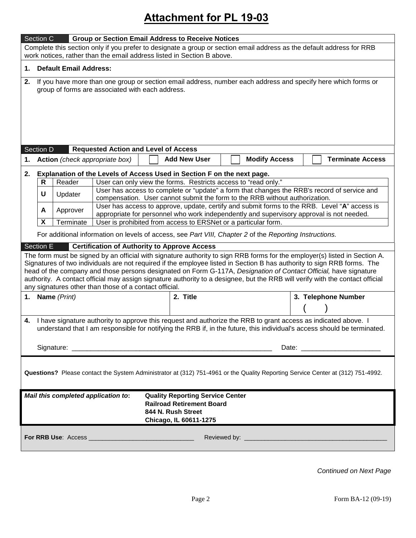## **Attachment for PL 19-03**

|                                                                                                                                                                                                                                                                                                                                                                                                                                                                                                                                                                      | Section C                                                                                                                                                               |                                     |  | <b>Group or Section Email Address to Receive Notices</b>                                                                                  |                      |                                                                                              |  |  |  |  |  |
|----------------------------------------------------------------------------------------------------------------------------------------------------------------------------------------------------------------------------------------------------------------------------------------------------------------------------------------------------------------------------------------------------------------------------------------------------------------------------------------------------------------------------------------------------------------------|-------------------------------------------------------------------------------------------------------------------------------------------------------------------------|-------------------------------------|--|-------------------------------------------------------------------------------------------------------------------------------------------|----------------------|----------------------------------------------------------------------------------------------|--|--|--|--|--|
| Complete this section only if you prefer to designate a group or section email address as the default address for RRB                                                                                                                                                                                                                                                                                                                                                                                                                                                |                                                                                                                                                                         |                                     |  |                                                                                                                                           |                      |                                                                                              |  |  |  |  |  |
|                                                                                                                                                                                                                                                                                                                                                                                                                                                                                                                                                                      | work notices, rather than the email address listed in Section B above.                                                                                                  |                                     |  |                                                                                                                                           |                      |                                                                                              |  |  |  |  |  |
| 1.                                                                                                                                                                                                                                                                                                                                                                                                                                                                                                                                                                   | <b>Default Email Address:</b>                                                                                                                                           |                                     |  |                                                                                                                                           |                      |                                                                                              |  |  |  |  |  |
|                                                                                                                                                                                                                                                                                                                                                                                                                                                                                                                                                                      | If you have more than one group or section email address, number each address and specify here which forms or<br>2.<br>group of forms are associated with each address. |                                     |  |                                                                                                                                           |                      |                                                                                              |  |  |  |  |  |
| <b>Requested Action and Level of Access</b><br>Section D                                                                                                                                                                                                                                                                                                                                                                                                                                                                                                             |                                                                                                                                                                         |                                     |  |                                                                                                                                           |                      |                                                                                              |  |  |  |  |  |
| 1.                                                                                                                                                                                                                                                                                                                                                                                                                                                                                                                                                                   | Action (check appropriate box)                                                                                                                                          |                                     |  | <b>Add New User</b>                                                                                                                       | <b>Modify Access</b> | <b>Terminate Access</b>                                                                      |  |  |  |  |  |
|                                                                                                                                                                                                                                                                                                                                                                                                                                                                                                                                                                      |                                                                                                                                                                         |                                     |  |                                                                                                                                           |                      |                                                                                              |  |  |  |  |  |
| 2.                                                                                                                                                                                                                                                                                                                                                                                                                                                                                                                                                                   | R                                                                                                                                                                       | Reader                              |  | Explanation of the Levels of Access Used in Section F on the next page.<br>User can only view the forms. Restricts access to "read only." |                      |                                                                                              |  |  |  |  |  |
|                                                                                                                                                                                                                                                                                                                                                                                                                                                                                                                                                                      | U                                                                                                                                                                       | Updater                             |  |                                                                                                                                           |                      | User has access to complete or "update" a form that changes the RRB's record of service and  |  |  |  |  |  |
|                                                                                                                                                                                                                                                                                                                                                                                                                                                                                                                                                                      |                                                                                                                                                                         |                                     |  | compensation. User cannot submit the form to the RRB without authorization.                                                               |                      | User has access to approve, update, certify and submit forms to the RRB. Level "A" access is |  |  |  |  |  |
|                                                                                                                                                                                                                                                                                                                                                                                                                                                                                                                                                                      | A                                                                                                                                                                       | Approver                            |  | appropriate for personnel who work independently and supervisory approval is not needed.                                                  |                      |                                                                                              |  |  |  |  |  |
|                                                                                                                                                                                                                                                                                                                                                                                                                                                                                                                                                                      | X                                                                                                                                                                       | Terminate                           |  | User is prohibited from access to ERSNet or a particular form.                                                                            |                      |                                                                                              |  |  |  |  |  |
|                                                                                                                                                                                                                                                                                                                                                                                                                                                                                                                                                                      |                                                                                                                                                                         |                                     |  | For additional information on levels of access, see Part VIII, Chapter 2 of the Reporting Instructions.                                   |                      |                                                                                              |  |  |  |  |  |
|                                                                                                                                                                                                                                                                                                                                                                                                                                                                                                                                                                      | Section E                                                                                                                                                               |                                     |  | <b>Certification of Authority to Approve Access</b>                                                                                       |                      |                                                                                              |  |  |  |  |  |
| The form must be signed by an official with signature authority to sign RRB forms for the employer(s) listed in Section A.<br>Signatures of two individuals are not required if the employee listed in Section B has authority to sign RRB forms. The<br>head of the company and those persons designated on Form G-117A, Designation of Contact Official, have signature<br>authority. A contact official may assign signature authority to a designee, but the RRB will verify with the contact official<br>any signatures other than those of a contact official. |                                                                                                                                                                         |                                     |  |                                                                                                                                           |                      |                                                                                              |  |  |  |  |  |
| 1.                                                                                                                                                                                                                                                                                                                                                                                                                                                                                                                                                                   | Name (Print)                                                                                                                                                            | 3. Telephone Number                 |  |                                                                                                                                           |                      |                                                                                              |  |  |  |  |  |
|                                                                                                                                                                                                                                                                                                                                                                                                                                                                                                                                                                      |                                                                                                                                                                         |                                     |  |                                                                                                                                           |                      |                                                                                              |  |  |  |  |  |
| I have signature authority to approve this request and authorize the RRB to grant access as indicated above. I<br>4.<br>understand that I am responsible for notifying the RRB if, in the future, this individual's access should be terminated.                                                                                                                                                                                                                                                                                                                     |                                                                                                                                                                         |                                     |  |                                                                                                                                           |                      |                                                                                              |  |  |  |  |  |
| Questions? Please contact the System Administrator at (312) 751-4961 or the Quality Reporting Service Center at (312) 751-4992.                                                                                                                                                                                                                                                                                                                                                                                                                                      |                                                                                                                                                                         |                                     |  |                                                                                                                                           |                      |                                                                                              |  |  |  |  |  |
|                                                                                                                                                                                                                                                                                                                                                                                                                                                                                                                                                                      |                                                                                                                                                                         | Mail this completed application to: |  | <b>Quality Reporting Service Center</b>                                                                                                   |                      |                                                                                              |  |  |  |  |  |
|                                                                                                                                                                                                                                                                                                                                                                                                                                                                                                                                                                      | <b>Railroad Retirement Board</b><br>844 N. Rush Street                                                                                                                  |                                     |  |                                                                                                                                           |                      |                                                                                              |  |  |  |  |  |
|                                                                                                                                                                                                                                                                                                                                                                                                                                                                                                                                                                      |                                                                                                                                                                         |                                     |  |                                                                                                                                           |                      |                                                                                              |  |  |  |  |  |
| Chicago, IL 60611-1275                                                                                                                                                                                                                                                                                                                                                                                                                                                                                                                                               |                                                                                                                                                                         |                                     |  |                                                                                                                                           |                      |                                                                                              |  |  |  |  |  |

*Continued on Next Page*